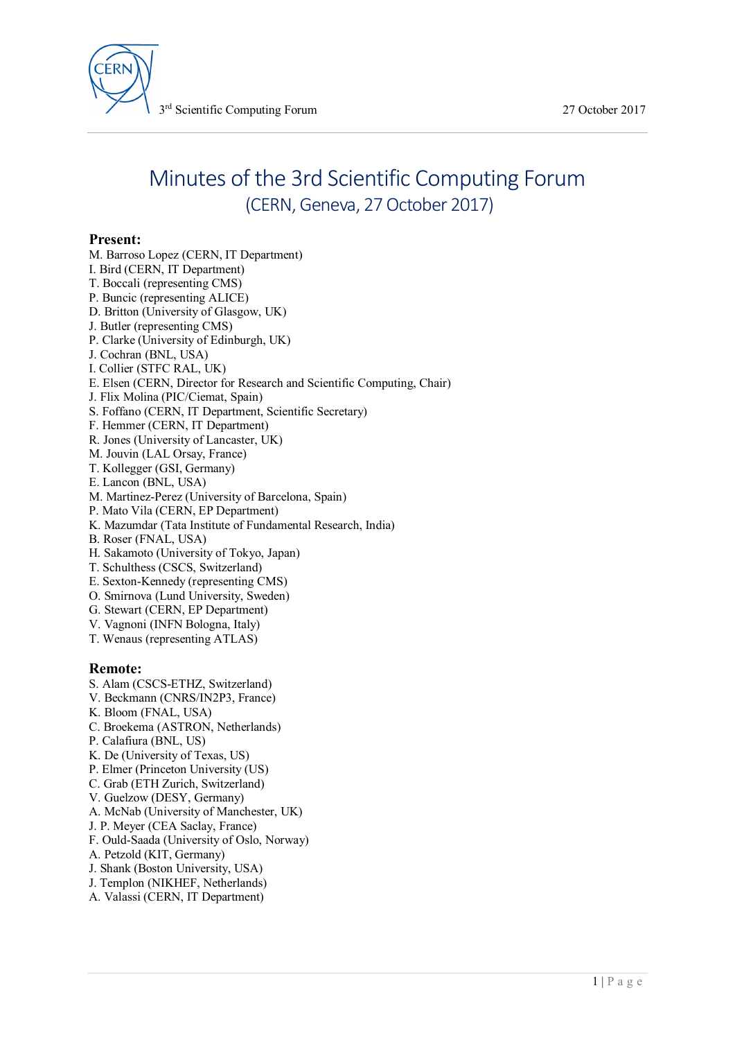

# Minutes of the 3rd Scientific Computing Forum (CERN, Geneva, 27 October 2017)

## **Present:**

- M. Barroso Lopez (CERN, IT Department) I. Bird (CERN, IT Department)
- T. Boccali (representing CMS)
- P. Buncic (representing ALICE)
- D. Britton (University of Glasgow, UK)
- J. Butler (representing CMS)
- P. Clarke (University of Edinburgh, UK)
- J. Cochran (BNL, USA)
- I. Collier (STFC RAL, UK)
- E. Elsen (CERN, Director for Research and Scientific Computing, Chair)
- J. Flix Molina (PIC/Ciemat, Spain)
- S. Foffano (CERN, IT Department, Scientific Secretary)
- F. Hemmer (CERN, IT Department)
- R. Jones (University of Lancaster, UK)
- M. Jouvin (LAL Orsay, France)
- T. Kollegger (GSI, Germany)
- E. Lancon (BNL, USA)
- M. Martinez-Perez (University of Barcelona, Spain)
- P. Mato Vila (CERN, EP Department)
- K. Mazumdar (Tata Institute of Fundamental Research, India)
- B. Roser (FNAL, USA)
- H. Sakamoto (University of Tokyo, Japan)
- T. Schulthess (CSCS, Switzerland)
- E. Sexton-Kennedy (representing CMS)
- O. Smirnova (Lund University, Sweden)
- G. Stewart (CERN, EP Department)
- V. Vagnoni (INFN Bologna, Italy)
- T. Wenaus (representing ATLAS)

#### **Remote:**

- S. Alam (CSCS-ETHZ, Switzerland)
- V. Beckmann (CNRS/IN2P3, France)
- K. Bloom (FNAL, USA)
- C. Broekema (ASTRON, Netherlands)
- P. Calafiura (BNL, US)
- K. De (University of Texas, US)
- P. Elmer (Princeton University (US)
- C. Grab (ETH Zurich, Switzerland)
- V. Guelzow (DESY, Germany)
- A. McNab (University of Manchester, UK)
- J. P. Meyer (CEA Saclay, France)
- F. Ould-Saada (University of Oslo, Norway)
- A. Petzold (KIT, Germany)
- J. Shank (Boston University, USA)
- J. Templon (NIKHEF, Netherlands)
- A. Valassi (CERN, IT Department)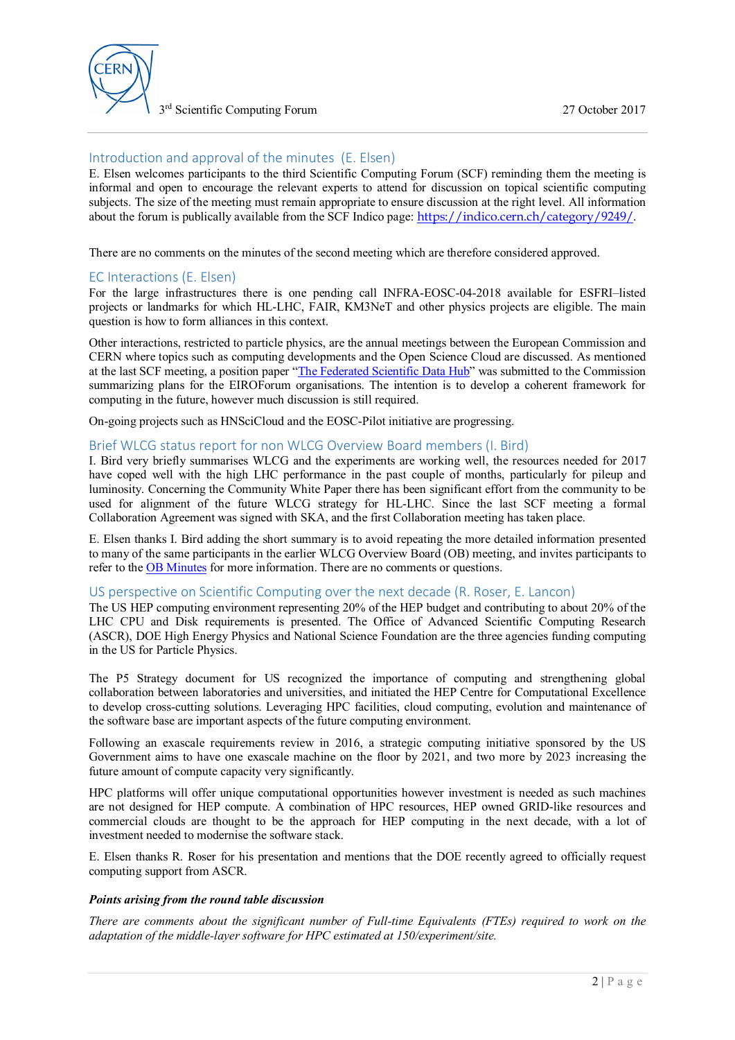

3 rd Scientific Computing Forum 27 October 2017

## Introduction and approval of the minutes (E. Elsen)

E. Elsen welcomes participants to the third Scientific Computing Forum (SCF) reminding them the meeting is informal and open to encourage the relevant experts to attend for discussion on topical scientific computing subjects. The size of the meeting must remain appropriate to ensure discussion at the right level. All information about the forum is publically available from the SCF Indico page: <https://indico.cern.ch/category/9249/>.

There are no comments on the minutes of the second meeting which are therefore considered approved.

## EC Interactions (E. Elsen)

For the large infrastructures there is one pending call INFRA-EOSC-04-2018 available for ESFRI–listed projects or landmarks for which HL-LHC, FAIR, KM3NeT and other physics projects are eligible. The main question is how to form alliances in this context.

Other interactions, restricted to particle physics, are the annual meetings between the European Commission and CERN where topics such as computing developments and the Open Science Cloud are discussed. As mentioned at the last SCF meeting, a position paper "[The Federated Scientific Data Hub"](https://indico.cern.ch/event/619438/contributions/2500299/attachments/1458583/2252187/FedSciDataHub-EIROforum.pdf) was submitted to the Commission summarizing plans for the EIROForum organisations. The intention is to develop a coherent framework for computing in the future, however much discussion is still required.

On-going projects such as HNSciCloud and the EOSC-Pilot initiative are progressing.

#### Brief WLCG status report for non WLCG Overview Board members (I. Bird)

I. Bird very briefly summarises WLCG and the experiments are working well, the resources needed for 2017 have coped well with the high LHC performance in the past couple of months, particularly for pileup and luminosity. Concerning the Community White Paper there has been significant effort from the community to be used for alignment of the future WLCG strategy for HL-LHC. Since the last SCF meeting a formal Collaboration Agreement was signed with SKA, and the first Collaboration meeting has taken place.

E. Elsen thanks I. Bird adding the short summary is to avoid repeating the more detailed information presented to many of the same participants in the earlier WLCG Overview Board (OB) meeting, and invites participants to refer to the [OB Minutes](https://indico.cern.ch/event/677596/contributions/2774056/attachments/1551947/2454065/WLCG_OB_271017_draft_minutes_v1.pdf) for more information. There are no comments or questions.

#### US perspective on Scientific Computing over the next decade (R. Roser, E. Lancon)

The US HEP computing environment representing 20% of the HEP budget and contributing to about 20% of the LHC CPU and Disk requirements is presented. The Office of Advanced Scientific Computing Research (ASCR), DOE High Energy Physics and National Science Foundation are the three agencies funding computing in the US for Particle Physics.

The P5 Strategy document for US recognized the importance of computing and strengthening global collaboration between laboratories and universities, and initiated the HEP Centre for Computational Excellence to develop cross-cutting solutions. Leveraging HPC facilities, cloud computing, evolution and maintenance of the software base are important aspects of the future computing environment.

Following an exascale requirements review in 2016, a strategic computing initiative sponsored by the US Government aims to have one exascale machine on the floor by 2021, and two more by 2023 increasing the future amount of compute capacity very significantly.

HPC platforms will offer unique computational opportunities however investment is needed as such machines are not designed for HEP compute. A combination of HPC resources, HEP owned GRID-like resources and commercial clouds are thought to be the approach for HEP computing in the next decade, with a lot of investment needed to modernise the software stack.

E. Elsen thanks R. Roser for his presentation and mentions that the DOE recently agreed to officially request computing support from ASCR.

#### *Points arising from the round table discussion*

*There are comments about the significant number of Full-time Equivalents (FTEs) required to work on the adaptation of the middle-layer software for HPC estimated at 150/experiment/site.*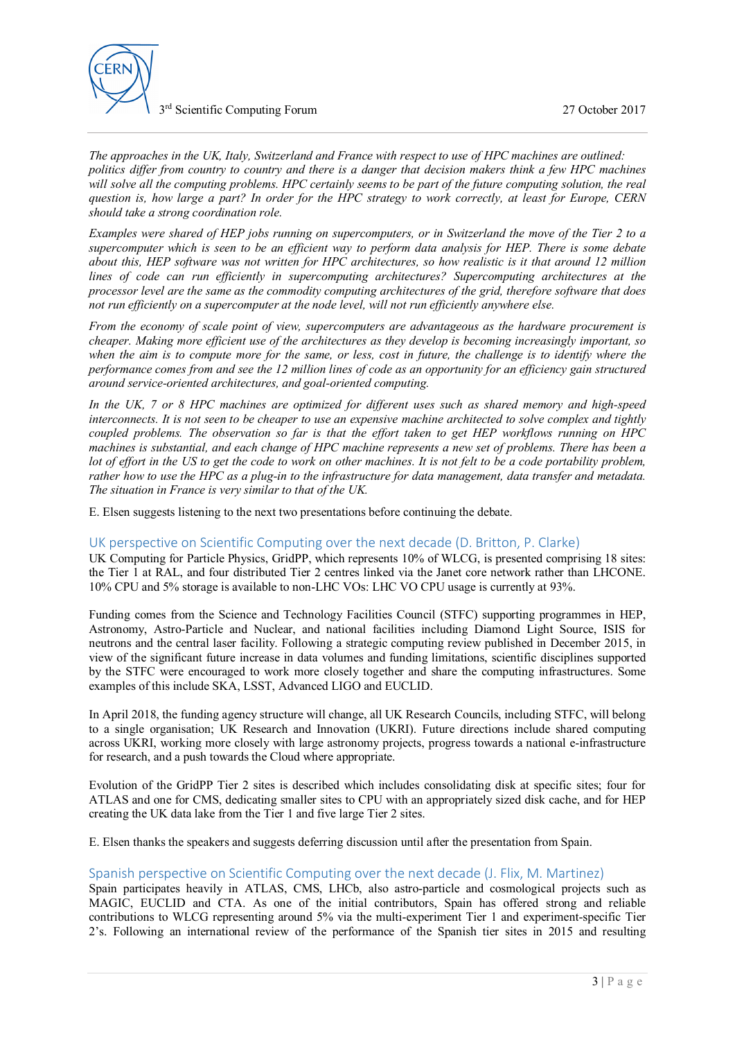

3 rd Scientific Computing Forum 27 October 2017

*The approaches in the UK, Italy, Switzerland and France with respect to use of HPC machines are outlined: politics differ from country to country and there is a danger that decision makers think a few HPC machines will solve all the computing problems. HPC certainly seems to be part of the future computing solution, the real question is, how large a part? In order for the HPC strategy to work correctly, at least for Europe, CERN should take a strong coordination role.*

*Examples were shared of HEP jobs running on supercomputers, or in Switzerland the move of the Tier 2 to a supercomputer which is seen to be an efficient way to perform data analysis for HEP. There is some debate about this, HEP software was not written for HPC architectures, so how realistic is it that around 12 million lines of code can run efficiently in supercomputing architectures? Supercomputing architectures at the processor level are the same as the commodity computing architectures of the grid, therefore software that does not run efficiently on a supercomputer at the node level, will not run efficiently anywhere else.*

*From the economy of scale point of view, supercomputers are advantageous as the hardware procurement is cheaper. Making more efficient use of the architectures as they develop is becoming increasingly important, so when the aim is to compute more for the same, or less, cost in future, the challenge is to identify where the performance comes from and see the 12 million lines of code as an opportunity for an efficiency gain structured around service-oriented architectures, and goal-oriented computing.*

*In the UK, 7 or 8 HPC machines are optimized for different uses such as shared memory and high-speed interconnects. It is not seen to be cheaper to use an expensive machine architected to solve complex and tightly coupled problems. The observation so far is that the effort taken to get HEP workflows running on HPC machines is substantial, and each change of HPC machine represents a new set of problems. There has been a lot of effort in the US to get the code to work on other machines. It is not felt to be a code portability problem, rather how to use the HPC as a plug-in to the infrastructure for data management, data transfer and metadata. The situation in France is very similar to that of the UK.*

E. Elsen suggests listening to the next two presentations before continuing the debate.

## UK perspective on Scientific Computing over the next decade (D. Britton, P. Clarke)

UK Computing for Particle Physics, GridPP, which represents 10% of WLCG, is presented comprising 18 sites: the Tier 1 at RAL, and four distributed Tier 2 centres linked via the Janet core network rather than LHCONE. 10% CPU and 5% storage is available to non-LHC VOs: LHC VO CPU usage is currently at 93%.

Funding comes from the Science and Technology Facilities Council (STFC) supporting programmes in HEP, Astronomy, Astro-Particle and Nuclear, and national facilities including Diamond Light Source, ISIS for neutrons and the central laser facility. Following a strategic computing review published in December 2015, in view of the significant future increase in data volumes and funding limitations, scientific disciplines supported by the STFC were encouraged to work more closely together and share the computing infrastructures. Some examples of this include SKA, LSST, Advanced LIGO and EUCLID.

In April 2018, the funding agency structure will change, all UK Research Councils, including STFC, will belong to a single organisation; UK Research and Innovation (UKRI). Future directions include shared computing across UKRI, working more closely with large astronomy projects, progress towards a national e-infrastructure for research, and a push towards the Cloud where appropriate.

Evolution of the GridPP Tier 2 sites is described which includes consolidating disk at specific sites; four for ATLAS and one for CMS, dedicating smaller sites to CPU with an appropriately sized disk cache, and for HEP creating the UK data lake from the Tier 1 and five large Tier 2 sites.

E. Elsen thanks the speakers and suggests deferring discussion until after the presentation from Spain.

## Spanish perspective on Scientific Computing over the next decade (J. Flix, M. Martinez)

Spain participates heavily in ATLAS, CMS, LHCb, also astro-particle and cosmological projects such as MAGIC, EUCLID and CTA. As one of the initial contributors, Spain has offered strong and reliable contributions to WLCG representing around 5% via the multi-experiment Tier 1 and experiment-specific Tier 2's. Following an international review of the performance of the Spanish tier sites in 2015 and resulting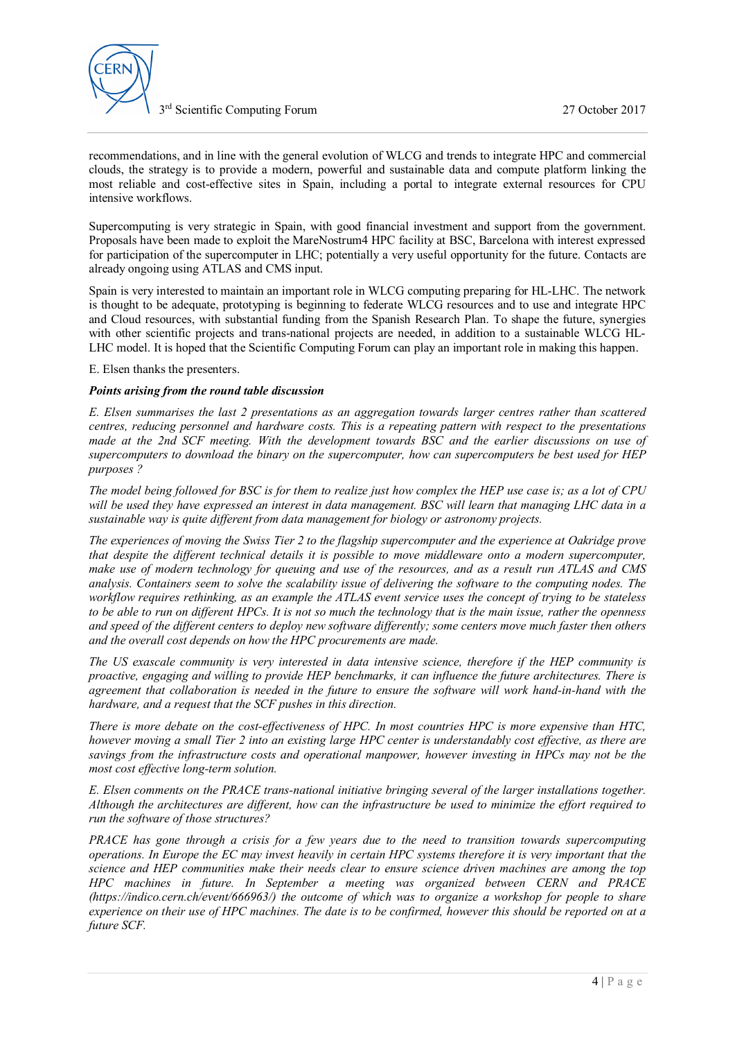

recommendations, and in line with the general evolution of WLCG and trends to integrate HPC and commercial clouds, the strategy is to provide a modern, powerful and sustainable data and compute platform linking the most reliable and cost-effective sites in Spain, including a portal to integrate external resources for CPU intensive workflows.

Supercomputing is very strategic in Spain, with good financial investment and support from the government. Proposals have been made to exploit the MareNostrum4 HPC facility at BSC, Barcelona with interest expressed for participation of the supercomputer in LHC; potentially a very useful opportunity for the future. Contacts are already ongoing using ATLAS and CMS input.

Spain is very interested to maintain an important role in WLCG computing preparing for HL-LHC. The network is thought to be adequate, prototyping is beginning to federate WLCG resources and to use and integrate HPC and Cloud resources, with substantial funding from the Spanish Research Plan. To shape the future, synergies with other scientific projects and trans-national projects are needed, in addition to a sustainable WLCG HL-LHC model. It is hoped that the Scientific Computing Forum can play an important role in making this happen.

E. Elsen thanks the presenters.

#### *Points arising from the round table discussion*

*E. Elsen summarises the last 2 presentations as an aggregation towards larger centres rather than scattered centres, reducing personnel and hardware costs. This is a repeating pattern with respect to the presentations made at the 2nd SCF meeting. With the development towards BSC and the earlier discussions on use of supercomputers to download the binary on the supercomputer, how can supercomputers be best used for HEP purposes ?*

*The model being followed for BSC is for them to realize just how complex the HEP use case is; as a lot of CPU will be used they have expressed an interest in data management. BSC will learn that managing LHC data in a sustainable way is quite different from data management for biology or astronomy projects.*

*The experiences of moving the Swiss Tier 2 to the flagship supercomputer and the experience at Oakridge prove that despite the different technical details it is possible to move middleware onto a modern supercomputer, make use of modern technology for queuing and use of the resources, and as a result run ATLAS and CMS analysis. Containers seem to solve the scalability issue of delivering the software to the computing nodes. The workflow requires rethinking, as an example the ATLAS event service uses the concept of trying to be stateless to be able to run on different HPCs. It is not so much the technology that is the main issue, rather the openness and speed of the different centers to deploy new software differently; some centers move much faster then others and the overall cost depends on how the HPC procurements are made.*

*The US exascale community is very interested in data intensive science, therefore if the HEP community is proactive, engaging and willing to provide HEP benchmarks, it can influence the future architectures. There is agreement that collaboration is needed in the future to ensure the software will work hand-in-hand with the hardware, and a request that the SCF pushes in this direction.*

*There is more debate on the cost-effectiveness of HPC. In most countries HPC is more expensive than HTC, however moving a small Tier 2 into an existing large HPC center is understandably cost effective, as there are savings from the infrastructure costs and operational manpower, however investing in HPCs may not be the most cost effective long-term solution.*

*E. Elsen comments on the PRACE trans-national initiative bringing several of the larger installations together. Although the architectures are different, how can the infrastructure be used to minimize the effort required to run the software of those structures?*

*PRACE has gone through a crisis for a few years due to the need to transition towards supercomputing operations. In Europe the EC may invest heavily in certain HPC systems therefore it is very important that the science and HEP communities make their needs clear to ensure science driven machines are among the top HPC machines in future. In September a meeting was organized between CERN and PRACE [\(https://indico.cern.ch/event/666963/](https://indico.cern.ch/event/666963/)) the outcome of which was to organize a workshop for people to share experience on their use of HPC machines. The date is to be confirmed, however this should be reported on at a future SCF.*